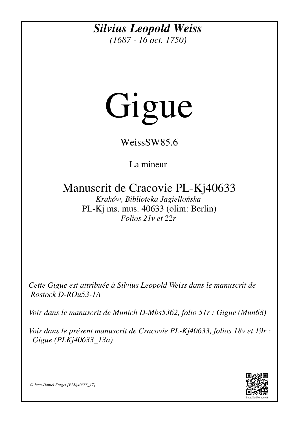## *Silvius Leopold Weiss*

*(1687 - 16 oct. 1750)*

## Gigue

WeissSW85.6

La mineur

Manuscrit de Cracovie PL-Kj40633

*Kraków, Biblioteka Jagiellońska* PL-Kj ms. mus. 40633 (olim: Berlin) *Folios 21v et 22r*

*Cette Gigue est attribuée à Silvius Leopold Weiss dans le manuscrit de Rostock D-ROu53-1A*

*Voir dans le manuscrit de Munich D-Mbs5362, folio 51r : Gigue (Mun68)*

*Voir dans le présent manuscrit de Cracovie PL-Kj40633, folios 18v et 19r : Gigue (PLKj40633\_13a)*



*© Jean-Daniel Forget [PLKj40633\_17]*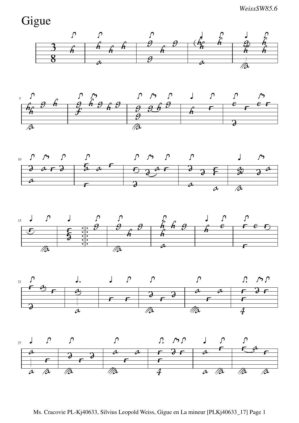*WeissSW85.6*

Gigue













Ms. Cracovie PL-Kj40633, Silvius Leopold Weiss, Gigue en La mineur [PLKj40633\_17] Page 1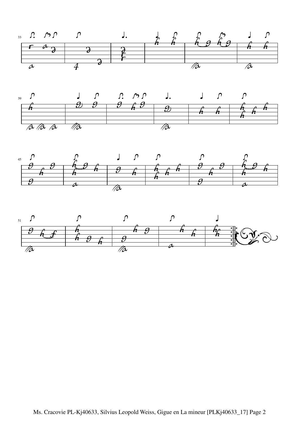